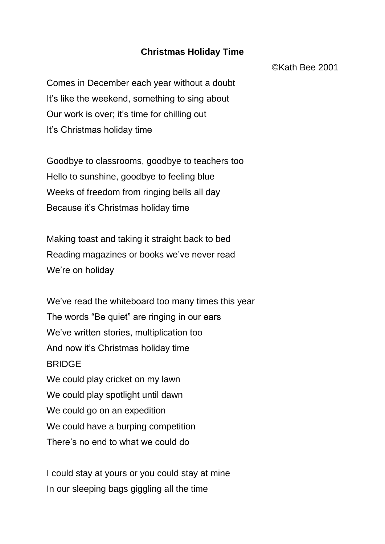## **Christmas Holiday Time**

©Kath Bee 2001

Comes in December each year without a doubt It's like the weekend, something to sing about Our work is over; it's time for chilling out It's Christmas holiday time

Goodbye to classrooms, goodbye to teachers too Hello to sunshine, goodbye to feeling blue Weeks of freedom from ringing bells all day Because it's Christmas holiday time

Making toast and taking it straight back to bed Reading magazines or books we've never read We're on holiday

We've read the whiteboard too many times this year The words "Be quiet" are ringing in our ears We've written stories, multiplication too And now it's Christmas holiday time BRIDGE We could play cricket on my lawn We could play spotlight until dawn We could go on an expedition We could have a burping competition There's no end to what we could do

I could stay at yours or you could stay at mine In our sleeping bags giggling all the time